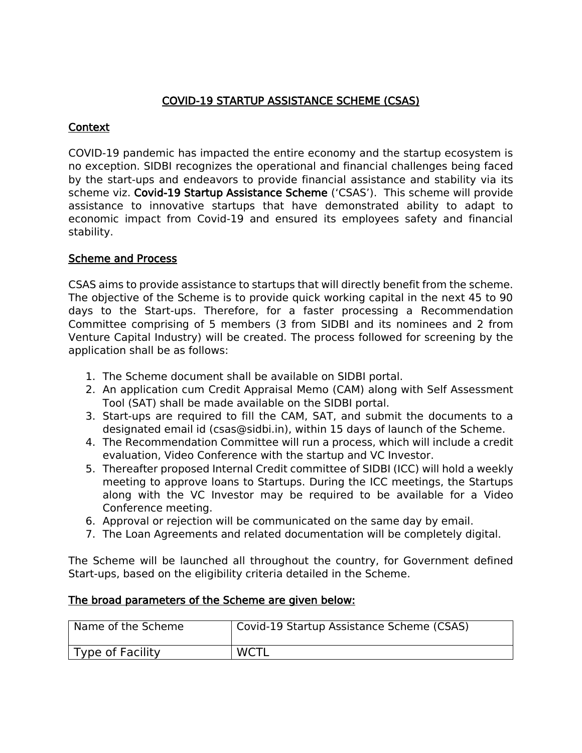## COVID-19 STARTUP ASSISTANCE SCHEME (CSAS)

## **Context**

COVID-19 pandemic has impacted the entire economy and the startup ecosystem is no exception. SIDBI recognizes the operational and financial challenges being faced by the start-ups and endeavors to provide financial assistance and stability via its scheme viz. Covid-19 Startup Assistance Scheme ('CSAS'). This scheme will provide assistance to innovative startups that have demonstrated ability to adapt to economic impact from Covid-19 and ensured its employees safety and financial stability.

## Scheme and Process

CSAS aims to provide assistance to startups that will directly benefit from the scheme. The objective of the Scheme is to provide quick working capital in the next 45 to 90 days to the Start-ups. Therefore, for a faster processing a Recommendation Committee comprising of 5 members (3 from SIDBI and its nominees and 2 from Venture Capital Industry) will be created. The process followed for screening by the application shall be as follows:

- 1. The Scheme document shall be available on SIDBI portal.
- 2. An application cum Credit Appraisal Memo (CAM) along with Self Assessment Tool (SAT) shall be made available on the SIDBI portal.
- 3. Start-ups are required to fill the CAM, SAT, and submit the documents to a designated email id (csas@sidbi.in), within 15 days of launch of the Scheme.
- 4. The Recommendation Committee will run a process, which will include a credit evaluation, Video Conference with the startup and VC Investor.
- 5. Thereafter proposed Internal Credit committee of SIDBI (ICC) will hold a weekly meeting to approve loans to Startups. During the ICC meetings, the Startups along with the VC Investor may be required to be available for a Video Conference meeting.
- 6. Approval or rejection will be communicated on the same day by email.
- 7. The Loan Agreements and related documentation will be completely digital.

The Scheme will be launched all throughout the country, for Government defined Start-ups, based on the eligibility criteria detailed in the Scheme.

## The broad parameters of the Scheme are given below:

| Name of the Scheme | Covid-19 Startup Assistance Scheme (CSAS) |
|--------------------|-------------------------------------------|
| Type of Facility   | <b>WCTL</b>                               |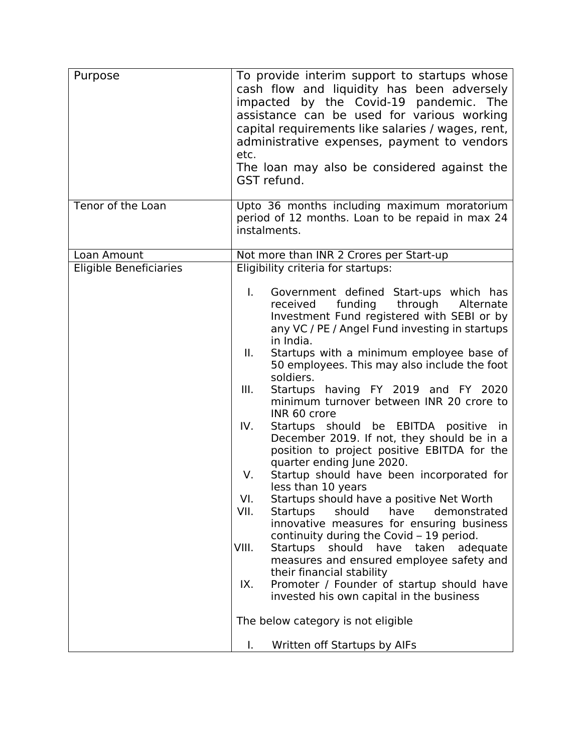| Purpose                       | To provide interim support to startups whose<br>cash flow and liquidity has been adversely<br>impacted by the Covid-19 pandemic. The<br>assistance can be used for various working<br>capital requirements like salaries / wages, rent,<br>administrative expenses, payment to vendors<br>etc.<br>The loan may also be considered against the<br>GST refund.                                                                                                                                                                                                                                                                                                   |
|-------------------------------|----------------------------------------------------------------------------------------------------------------------------------------------------------------------------------------------------------------------------------------------------------------------------------------------------------------------------------------------------------------------------------------------------------------------------------------------------------------------------------------------------------------------------------------------------------------------------------------------------------------------------------------------------------------|
| Tenor of the Loan             | Upto 36 months including maximum moratorium<br>period of 12 months. Loan to be repaid in max 24<br>instalments.                                                                                                                                                                                                                                                                                                                                                                                                                                                                                                                                                |
| Loan Amount                   | Not more than INR 2 Crores per Start-up                                                                                                                                                                                                                                                                                                                                                                                                                                                                                                                                                                                                                        |
| <b>Eligible Beneficiaries</b> | Eligibility criteria for startups:                                                                                                                                                                                                                                                                                                                                                                                                                                                                                                                                                                                                                             |
|                               | L.<br>Government defined Start-ups which has<br>funding<br>through<br>Alternate<br>received<br>Investment Fund registered with SEBI or by<br>any VC / PE / Angel Fund investing in startups<br>in India.<br>Startups with a minimum employee base of<br>II.<br>50 employees. This may also include the foot<br>soldiers.<br>Startups having FY 2019 and FY 2020<br>Ш.<br>minimum turnover between INR 20 crore to<br>INR 60 crore<br>IV.<br>Startups should be EBITDA positive in<br>December 2019. If not, they should be in a<br>position to project positive EBITDA for the<br>quarter ending June 2020.<br>Startup should have been incorporated for<br>V. |
|                               | less than 10 years                                                                                                                                                                                                                                                                                                                                                                                                                                                                                                                                                                                                                                             |
|                               | VI.<br>Startups should have a positive Net Worth                                                                                                                                                                                                                                                                                                                                                                                                                                                                                                                                                                                                               |
|                               | VII.<br>Startups<br>should have<br>demonstrated<br>innovative measures for ensuring business<br>continuity during the Covid – 19 period.                                                                                                                                                                                                                                                                                                                                                                                                                                                                                                                       |
|                               | VIII.<br>Startups<br>should have taken<br>adequate<br>measures and ensured employee safety and<br>their financial stability                                                                                                                                                                                                                                                                                                                                                                                                                                                                                                                                    |
|                               | Promoter / Founder of startup should have<br>IX.<br>invested his own capital in the business                                                                                                                                                                                                                                                                                                                                                                                                                                                                                                                                                                   |
|                               | The below category is not eligible                                                                                                                                                                                                                                                                                                                                                                                                                                                                                                                                                                                                                             |
|                               | Written off Startups by AIFs<br>I.                                                                                                                                                                                                                                                                                                                                                                                                                                                                                                                                                                                                                             |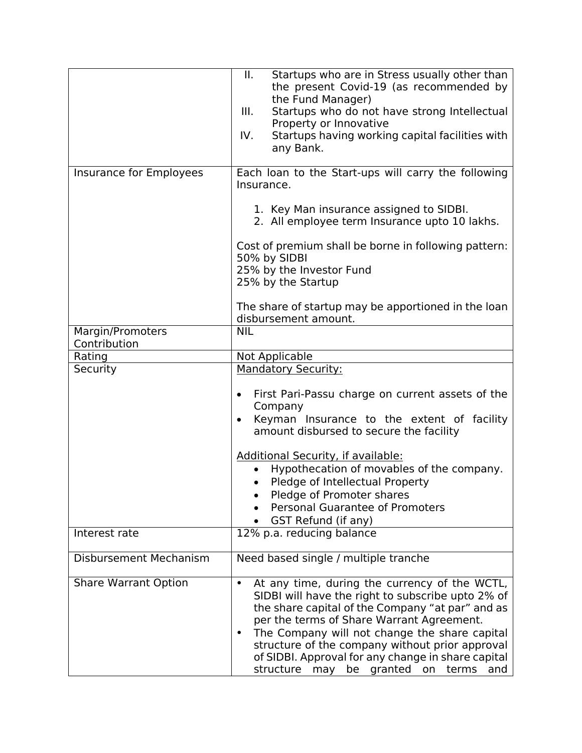|                                  | Ш.<br>Startups who are in Stress usually other than<br>the present Covid-19 (as recommended by<br>the Fund Manager)<br>Ш.<br>Startups who do not have strong Intellectual<br>Property or Innovative                                                                                                                                                                                                                                 |
|----------------------------------|-------------------------------------------------------------------------------------------------------------------------------------------------------------------------------------------------------------------------------------------------------------------------------------------------------------------------------------------------------------------------------------------------------------------------------------|
|                                  | Startups having working capital facilities with<br>IV.<br>any Bank.                                                                                                                                                                                                                                                                                                                                                                 |
| Insurance for Employees          | Each loan to the Start-ups will carry the following<br>Insurance.                                                                                                                                                                                                                                                                                                                                                                   |
|                                  | 1. Key Man insurance assigned to SIDBI.<br>2. All employee term Insurance upto 10 lakhs.                                                                                                                                                                                                                                                                                                                                            |
|                                  | Cost of premium shall be borne in following pattern:<br>50% by SIDBI<br>25% by the Investor Fund                                                                                                                                                                                                                                                                                                                                    |
|                                  | 25% by the Startup                                                                                                                                                                                                                                                                                                                                                                                                                  |
|                                  | The share of startup may be apportioned in the loan<br>disbursement amount.                                                                                                                                                                                                                                                                                                                                                         |
| Margin/Promoters<br>Contribution | <b>NIL</b>                                                                                                                                                                                                                                                                                                                                                                                                                          |
| Rating                           | Not Applicable                                                                                                                                                                                                                                                                                                                                                                                                                      |
| Security                         | <b>Mandatory Security:</b>                                                                                                                                                                                                                                                                                                                                                                                                          |
|                                  | First Pari-Passu charge on current assets of the<br>$\bullet$<br>Company<br>Keyman Insurance to the extent of facility<br>$\bullet$<br>amount disbursed to secure the facility                                                                                                                                                                                                                                                      |
|                                  | Additional Security, if available:<br>Hypothecation of movables of the company.<br>Pledge of Intellectual Property<br>Pledge of Promoter shares<br>Personal Guarantee of Promoters<br>GST Refund (if any)                                                                                                                                                                                                                           |
| Interest rate                    | 12% p.a. reducing balance                                                                                                                                                                                                                                                                                                                                                                                                           |
| <b>Disbursement Mechanism</b>    | Need based single / multiple tranche                                                                                                                                                                                                                                                                                                                                                                                                |
| <b>Share Warrant Option</b>      | At any time, during the currency of the WCTL,<br>$\bullet$<br>SIDBI will have the right to subscribe upto 2% of<br>the share capital of the Company "at par" and as<br>per the terms of Share Warrant Agreement.<br>The Company will not change the share capital<br>$\bullet$<br>structure of the company without prior approval<br>of SIDBI. Approval for any change in share capital<br>structure may be granted on terms<br>and |